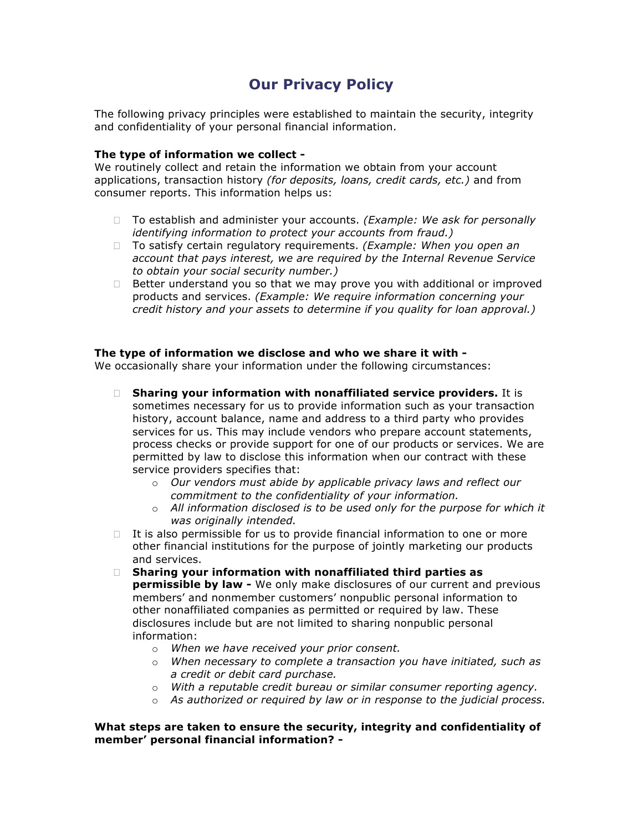## **Our Privacy Policy**

The following privacy principles were established to maintain the security, integrity and confidentiality of your personal financial information.

## **The type of information we collect -**

We routinely collect and retain the information we obtain from your account applications, transaction history *(for deposits, loans, credit cards, etc.)* and from consumer reports. This information helps us:

- □ To establish and administer your accounts. *(Example: We ask for personally identifying information to protect your accounts from fraud.)*
- To satisfy certain regulatory requirements. *(Example: When you open an account that pays interest, we are required by the Internal Revenue Service to obtain your social security number.)*
- $\Box$  Better understand you so that we may prove you with additional or improved products and services. *(Example: We require information concerning your credit history and your assets to determine if you quality for loan approval.)*

## **The type of information we disclose and who we share it with -**

We occasionally share your information under the following circumstances:

- **Sharing your information with nonaffiliated service providers.** It is sometimes necessary for us to provide information such as your transaction history, account balance, name and address to a third party who provides services for us. This may include vendors who prepare account statements, process checks or provide support for one of our products or services. We are permitted by law to disclose this information when our contract with these service providers specifies that:
	- o *Our vendors must abide by applicable privacy laws and reflect our commitment to the confidentiality of your information.*
	- o *All information disclosed is to be used only for the purpose for which it was originally intended.*
- $\Box$  It is also permissible for us to provide financial information to one or more other financial institutions for the purpose of jointly marketing our products and services.
- **Sharing your information with nonaffiliated third parties as permissible by law -** We only make disclosures of our current and previous members' and nonmember customers' nonpublic personal information to other nonaffiliated companies as permitted or required by law. These disclosures include but are not limited to sharing nonpublic personal information:
	- o *When we have received your prior consent.*
	- o *When necessary to complete a transaction you have initiated, such as a credit or debit card purchase.*
	- o *With a reputable credit bureau or similar consumer reporting agency.*
	- o *As authorized or required by law or in response to the judicial process.*

## **What steps are taken to ensure the security, integrity and confidentiality of member' personal financial information? -**